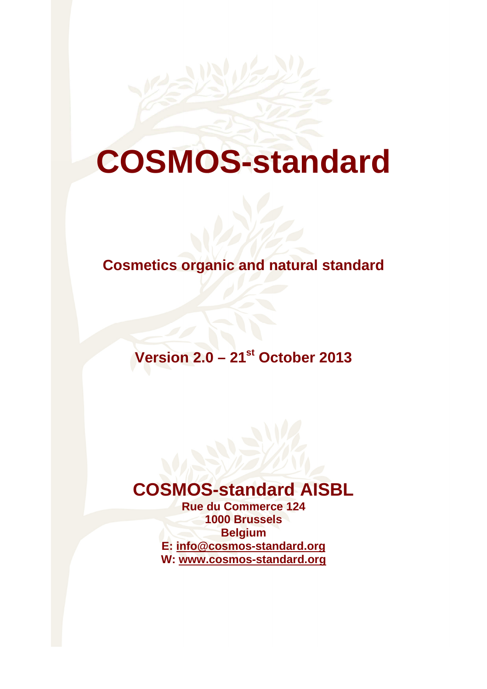

# **COSMOS-standard**

## **Cosmetics organic and natural standard**

**Version 2.0 – 21st October 2013** 

## **COSMOS-standard AISBL**

**Rue du Commerce 124 1000 Brussels Belgium E: info@cosmos-standard.org W: www.cosmos-standard.org**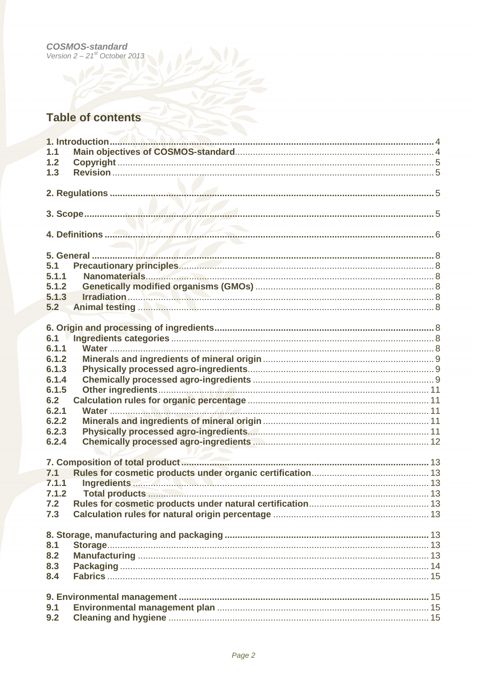# **COSMOS-standard**<br>Version  $2 - 21<sup>st</sup>$  October 2013

### **Table of contents**

| 1.1   |  |
|-------|--|
| 1.2   |  |
|       |  |
| 1.3   |  |
|       |  |
|       |  |
|       |  |
|       |  |
|       |  |
|       |  |
|       |  |
|       |  |
|       |  |
| 5.1   |  |
| 5.1.1 |  |
| 5.1.2 |  |
|       |  |
| 5.1.3 |  |
| 5.2   |  |
|       |  |
|       |  |
| 6.1   |  |
| 6.1.1 |  |
|       |  |
| 6.1.2 |  |
| 6.1.3 |  |
| 6.1.4 |  |
| 6.1.5 |  |
| 6.2   |  |
| 6.2.1 |  |
| 6.2.2 |  |
|       |  |
| 6.2.3 |  |
| 6.2.4 |  |
|       |  |
|       |  |
| 7.1   |  |
| 7.1.1 |  |
|       |  |
| 7.1.2 |  |
| 7.2   |  |
| 7.3   |  |
|       |  |
|       |  |
| 8.1   |  |
|       |  |
| 8.2   |  |
| 8.3   |  |
| 8.4   |  |
|       |  |
|       |  |
| 9.1   |  |
|       |  |
| 9.2   |  |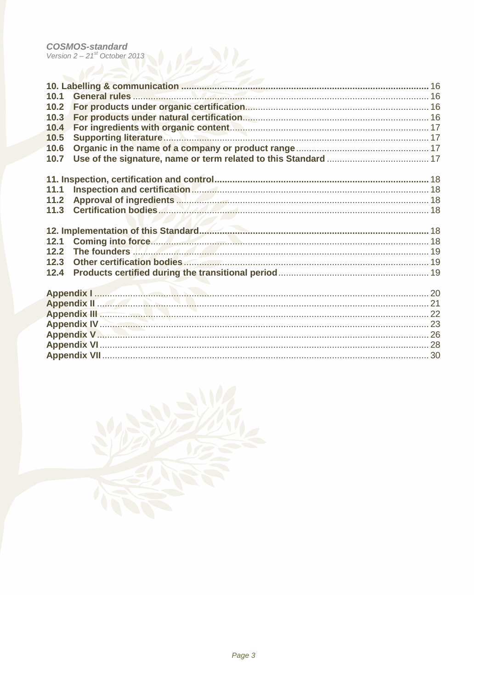| 10.1                                                                                                                                            |  |
|-------------------------------------------------------------------------------------------------------------------------------------------------|--|
| 10.2                                                                                                                                            |  |
| 10.3                                                                                                                                            |  |
| 10.4                                                                                                                                            |  |
| 10.5                                                                                                                                            |  |
| 10.6                                                                                                                                            |  |
| 10.7                                                                                                                                            |  |
|                                                                                                                                                 |  |
|                                                                                                                                                 |  |
| 11.1                                                                                                                                            |  |
| Approval of ingredients Mathematics Mathematics and 18<br>11.2                                                                                  |  |
| 11.3                                                                                                                                            |  |
|                                                                                                                                                 |  |
|                                                                                                                                                 |  |
| Coming into force. 18<br>12.1                                                                                                                   |  |
| 12.2<br>The founders <b>Material Material Constitution</b> 19                                                                                   |  |
| Other certification bodies (2000) and the certification bodies (2000) and the certification bodies (2000) and the certification of $19$<br>12.3 |  |
| 12.4                                                                                                                                            |  |
|                                                                                                                                                 |  |
|                                                                                                                                                 |  |
|                                                                                                                                                 |  |
|                                                                                                                                                 |  |
|                                                                                                                                                 |  |
|                                                                                                                                                 |  |
|                                                                                                                                                 |  |
|                                                                                                                                                 |  |

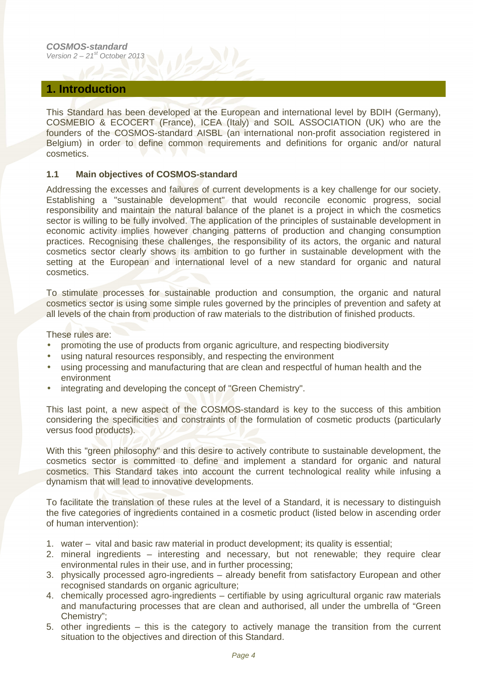#### **1. Introduction**

This Standard has been developed at the European and international level by BDIH (Germany), COSMEBIO & ECOCERT (France), ICEA (Italy) and SOIL ASSOCIATION (UK) who are the founders of the COSMOS-standard AISBL (an international non-profit association registered in Belgium) in order to define common requirements and definitions for organic and/or natural cosmetics.

#### **1.1 Main objectives of COSMOS-standard**

Addressing the excesses and failures of current developments is a key challenge for our society. Establishing a "sustainable development" that would reconcile economic progress, social responsibility and maintain the natural balance of the planet is a project in which the cosmetics sector is willing to be fully involved. The application of the principles of sustainable development in economic activity implies however changing patterns of production and changing consumption practices. Recognising these challenges, the responsibility of its actors, the organic and natural cosmetics sector clearly shows its ambition to go further in sustainable development with the setting at the European and international level of a new standard for organic and natural cosmetics.

To stimulate processes for sustainable production and consumption, the organic and natural cosmetics sector is using some simple rules governed by the principles of prevention and safety at all levels of the chain from production of raw materials to the distribution of finished products.

These rules are:

- promoting the use of products from organic agriculture, and respecting biodiversity
- using natural resources responsibly, and respecting the environment
- using processing and manufacturing that are clean and respectful of human health and the environment
- integrating and developing the concept of "Green Chemistry".

This last point, a new aspect of the COSMOS-standard is key to the success of this ambition considering the specificities and constraints of the formulation of cosmetic products (particularly versus food products).

With this "green philosophy" and this desire to actively contribute to sustainable development, the cosmetics sector is committed to define and implement a standard for organic and natural cosmetics. This Standard takes into account the current technological reality while infusing a dynamism that will lead to innovative developments.

To facilitate the translation of these rules at the level of a Standard, it is necessary to distinguish the five categories of ingredients contained in a cosmetic product (listed below in ascending order of human intervention):

- 1. water vital and basic raw material in product development; its quality is essential;
- 2. mineral ingredients interesting and necessary, but not renewable; they require clear environmental rules in their use, and in further processing;
- 3. physically processed agro-ingredients already benefit from satisfactory European and other recognised standards on organic agriculture;
- 4. chemically processed agro-ingredients certifiable by using agricultural organic raw materials and manufacturing processes that are clean and authorised, all under the umbrella of "Green Chemistry";
- 5. other ingredients this is the category to actively manage the transition from the current situation to the objectives and direction of this Standard.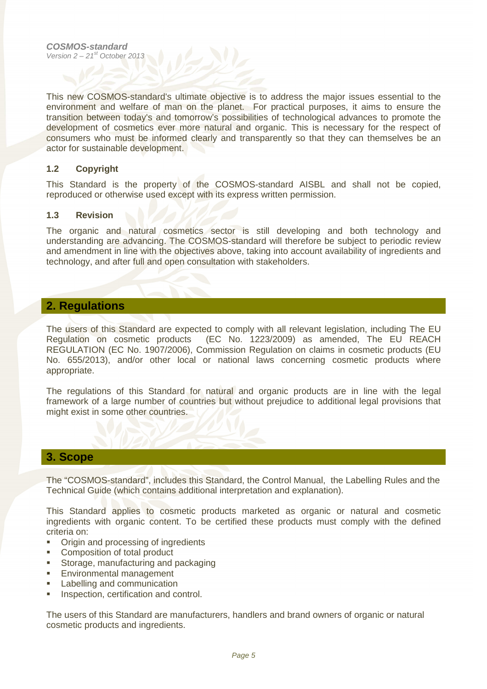This new COSMOS-standard's ultimate objective is to address the major issues essential to the environment and welfare of man on the planet. For practical purposes, it aims to ensure the transition between today's and tomorrow's possibilities of technological advances to promote the development of cosmetics ever more natural and organic. This is necessary for the respect of consumers who must be informed clearly and transparently so that they can themselves be an actor for sustainable development.

#### **1.2 Copyright**

This Standard is the property of the COSMOS-standard AISBL and shall not be copied, reproduced or otherwise used except with its express written permission.

#### **1.3 Revision**

The organic and natural cosmetics sector is still developing and both technology and understanding are advancing. The COSMOS-standard will therefore be subject to periodic review and amendment in line with the objectives above, taking into account availability of ingredients and technology, and after full and open consultation with stakeholders.

#### **2. Regulations**

The users of this Standard are expected to comply with all relevant legislation, including The EU Regulation on cosmetic products (EC No. 1223/2009) as amended, The EU REACH REGULATION (EC No. 1907/2006), Commission Regulation on claims in cosmetic products (EU No. 655/2013), and/or other local or national laws concerning cosmetic products where appropriate.

The regulations of this Standard for natural and organic products are in line with the legal framework of a large number of countries but without prejudice to additional legal provisions that might exist in some other countries.

#### **3. Scope**

The "COSMOS-standard", includes this Standard, the Control Manual, the Labelling Rules and the Technical Guide (which contains additional interpretation and explanation).

This Standard applies to cosmetic products marketed as organic or natural and cosmetic ingredients with organic content. To be certified these products must comply with the defined criteria on:

- Origin and processing of ingredients
- Composition of total product
- Storage, manufacturing and packaging
- **Environmental management**
- Labelling and communication
- **Inspection, certification and control.**

The users of this Standard are manufacturers, handlers and brand owners of organic or natural cosmetic products and ingredients.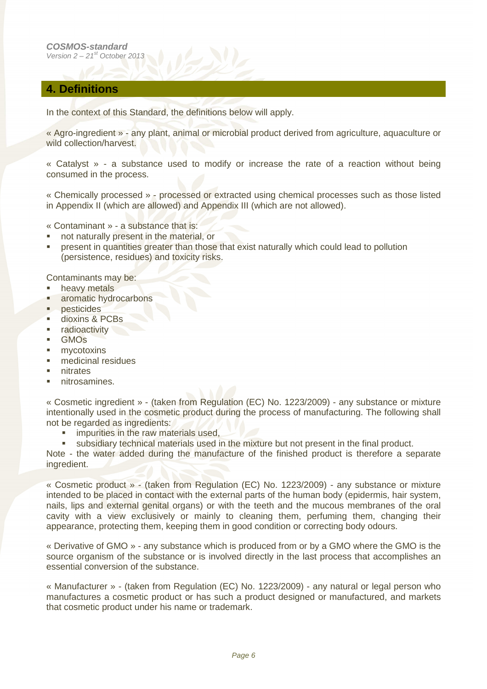#### **4. Definitions**

In the context of this Standard, the definitions below will apply.

« Agro-ingredient » - any plant, animal or microbial product derived from agriculture, aquaculture or wild collection/harvest.

« Catalyst » - a substance used to modify or increase the rate of a reaction without being consumed in the process.

« Chemically processed » - processed or extracted using chemical processes such as those listed in Appendix II (which are allowed) and Appendix III (which are not allowed).

- « Contaminant » a substance that is:
- not naturally present in the material, or
- present in quantities greater than those that exist naturally which could lead to pollution (persistence, residues) and toxicity risks.

Contaminants may be:

- **heavy metals**
- aromatic hydrocarbons
- **pesticides**
- dioxins & PCBs
- **radioactivity**
- GMOs
- **mycotoxins**
- medicinal residues
- $n$ itrates
- nitrosamines.

« Cosmetic ingredient » - (taken from Regulation (EC) No. 1223/2009) - any substance or mixture intentionally used in the cosmetic product during the process of manufacturing. The following shall not be regarded as ingredients:

**impurities in the raw materials used,** 

subsidiary technical materials used in the mixture but not present in the final product.

Note - the water added during the manufacture of the finished product is therefore a separate ingredient.

« Cosmetic product » - (taken from Regulation (EC) No. 1223/2009) - any substance or mixture intended to be placed in contact with the external parts of the human body (epidermis, hair system, nails, lips and external genital organs) or with the teeth and the mucous membranes of the oral cavity with a view exclusively or mainly to cleaning them, perfuming them, changing their appearance, protecting them, keeping them in good condition or correcting body odours.

« Derivative of GMO » - any substance which is produced from or by a GMO where the GMO is the source organism of the substance or is involved directly in the last process that accomplishes an essential conversion of the substance.

« Manufacturer » - (taken from Regulation (EC) No. 1223/2009) - any natural or legal person who manufactures a cosmetic product or has such a product designed or manufactured, and markets that cosmetic product under his name or trademark.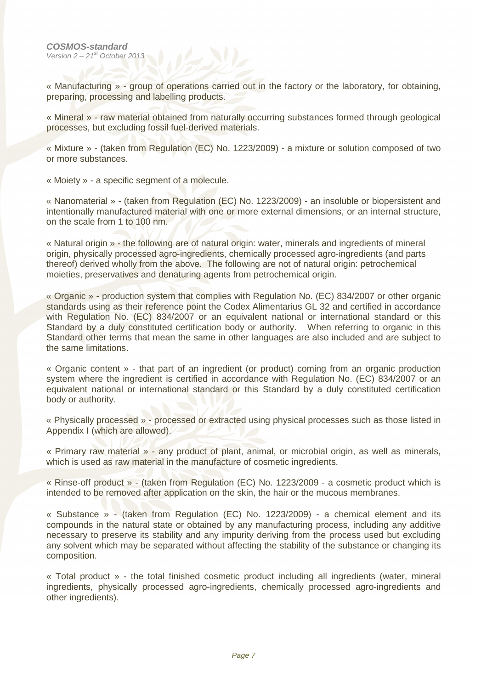« Manufacturing » - group of operations carried out in the factory or the laboratory, for obtaining, preparing, processing and labelling products.

« Mineral » - raw material obtained from naturally occurring substances formed through geological processes, but excluding fossil fuel-derived materials.

« Mixture » - (taken from Regulation (EC) No. 1223/2009) - a mixture or solution composed of two or more substances.

« Moiety » - a specific segment of a molecule.

« Nanomaterial » - (taken from Regulation (EC) No. 1223/2009) - an insoluble or biopersistent and intentionally manufactured material with one or more external dimensions, or an internal structure, on the scale from 1 to 100 nm.

« Natural origin » - the following are of natural origin: water, minerals and ingredients of mineral origin, physically processed agro-ingredients, chemically processed agro-ingredients (and parts thereof) derived wholly from the above. The following are not of natural origin: petrochemical moieties, preservatives and denaturing agents from petrochemical origin.

« Organic » - production system that complies with Regulation No. (EC) 834/2007 or other organic standards using as their reference point the Codex Alimentarius GL 32 and certified in accordance with Regulation No. (EC) 834/2007 or an equivalent national or international standard or this Standard by a duly constituted certification body or authority. When referring to organic in this Standard other terms that mean the same in other languages are also included and are subject to the same limitations.

« Organic content » - that part of an ingredient (or product) coming from an organic production system where the ingredient is certified in accordance with Regulation No. (EC) 834/2007 or an equivalent national or international standard or this Standard by a duly constituted certification body or authority.

« Physically processed » - processed or extracted using physical processes such as those listed in Appendix I (which are allowed).

« Primary raw material » - any product of plant, animal, or microbial origin, as well as minerals, which is used as raw material in the manufacture of cosmetic ingredients.

« Rinse-off product » - (taken from Regulation (EC) No. 1223/2009 - a cosmetic product which is intended to be removed after application on the skin, the hair or the mucous membranes.

« Substance » - (taken from Regulation (EC) No. 1223/2009) - a chemical element and its compounds in the natural state or obtained by any manufacturing process, including any additive necessary to preserve its stability and any impurity deriving from the process used but excluding any solvent which may be separated without affecting the stability of the substance or changing its composition.

« Total product » - the total finished cosmetic product including all ingredients (water, mineral ingredients, physically processed agro-ingredients, chemically processed agro-ingredients and other ingredients).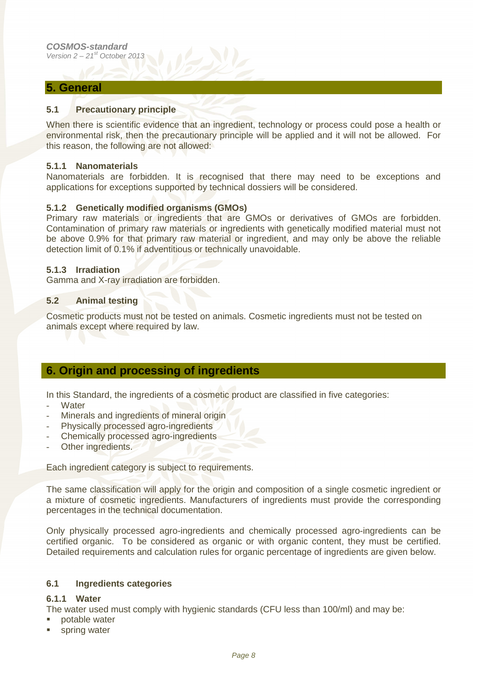#### **5. General**

#### **5.1 Precautionary principle**

When there is scientific evidence that an ingredient, technology or process could pose a health or environmental risk, then the precautionary principle will be applied and it will not be allowed. For this reason, the following are not allowed:

#### **5.1.1 Nanomaterials**

Nanomaterials are forbidden. It is recognised that there may need to be exceptions and applications for exceptions supported by technical dossiers will be considered.

#### **5.1.2 Genetically modified organisms (GMOs)**

Primary raw materials or ingredients that are GMOs or derivatives of GMOs are forbidden. Contamination of primary raw materials or ingredients with genetically modified material must not be above 0.9% for that primary raw material or ingredient, and may only be above the reliable detection limit of 0.1% if adventitious or technically unavoidable.

#### **5.1.3 Irradiation**

Gamma and X-ray irradiation are forbidden.

#### **5.2 Animal testing**

Cosmetic products must not be tested on animals. Cosmetic ingredients must not be tested on animals except where required by law.

#### **6. Origin and processing of ingredients**

In this Standard, the ingredients of a cosmetic product are classified in five categories:

- **Water**
- Minerals and ingredients of mineral origin
- Physically processed agro-ingredients
- Chemically processed agro-ingredients
- Other ingredients.

Each ingredient category is subject to requirements.

The same classification will apply for the origin and composition of a single cosmetic ingredient or a mixture of cosmetic ingredients. Manufacturers of ingredients must provide the corresponding percentages in the technical documentation.

Only physically processed agro-ingredients and chemically processed agro-ingredients can be certified organic. To be considered as organic or with organic content, they must be certified. Detailed requirements and calculation rules for organic percentage of ingredients are given below.

#### **6.1 Ingredients categories**

#### **6.1.1 Water**

The water used must comply with hygienic standards (CFU less than 100/ml) and may be:

- potable water
- **spring water**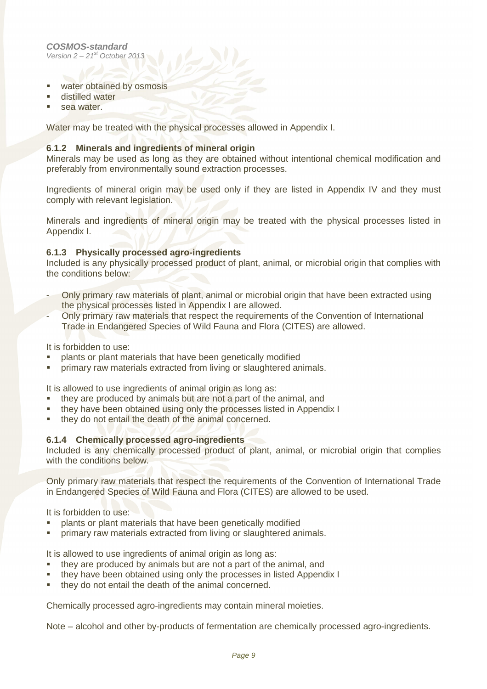- **water obtained by osmosis**
- **distilled water**
- sea water

Water may be treated with the physical processes allowed in Appendix I.

#### **6.1.2 Minerals and ingredients of mineral origin**

Minerals may be used as long as they are obtained without intentional chemical modification and preferably from environmentally sound extraction processes.

Ingredients of mineral origin may be used only if they are listed in Appendix IV and they must comply with relevant legislation.

Minerals and ingredients of mineral origin may be treated with the physical processes listed in Appendix I.

#### **6.1.3 Physically processed agro-ingredients**

Included is any physically processed product of plant, animal, or microbial origin that complies with the conditions below:

- Only primary raw materials of plant, animal or microbial origin that have been extracted using the physical processes listed in Appendix I are allowed.
- Only primary raw materials that respect the requirements of the Convention of International Trade in Endangered Species of Wild Fauna and Flora (CITES) are allowed.

It is forbidden to use:

- plants or plant materials that have been genetically modified
- primary raw materials extracted from living or slaughtered animals.

It is allowed to use ingredients of animal origin as long as:

- they are produced by animals but are not a part of the animal, and
- **they have been obtained using only the processes listed in Appendix I**
- they do not entail the death of the animal concerned.

#### **6.1.4 Chemically processed agro-ingredients**

Included is any chemically processed product of plant, animal, or microbial origin that complies with the conditions below.

Only primary raw materials that respect the requirements of the Convention of International Trade in Endangered Species of Wild Fauna and Flora (CITES) are allowed to be used.

It is forbidden to use:

- plants or plant materials that have been genetically modified
- primary raw materials extracted from living or slaughtered animals.

It is allowed to use ingredients of animal origin as long as:

- they are produced by animals but are not a part of the animal, and
- **they have been obtained using only the processes in listed Appendix I**
- they do not entail the death of the animal concerned.

Chemically processed agro-ingredients may contain mineral moieties.

Note – alcohol and other by-products of fermentation are chemically processed agro-ingredients.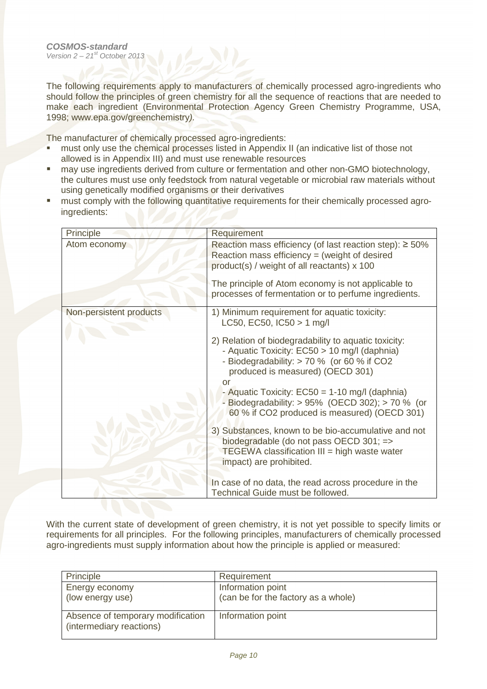The following requirements apply to manufacturers of chemically processed agro-ingredients who should follow the principles of green chemistry for all the sequence of reactions that are needed to make each ingredient (Environmental Protection Agency Green Chemistry Programme, USA, 1998; www.epa.gov/greenchemistry).

The manufacturer of chemically processed agro-ingredients:

- must only use the chemical processes listed in Appendix II (an indicative list of those not allowed is in Appendix III) and must use renewable resources
- may use ingredients derived from culture or fermentation and other non-GMO biotechnology, the cultures must use only feedstock from natural vegetable or microbial raw materials without using genetically modified organisms or their derivatives
- **nust comply with the following quantitative requirements for their chemically processed agro**ingredients:

| Principle               | <b>Requirement</b>                                                                                                                                                                                                                                                                                                                                                                                                                                                                                                                                                                                   |
|-------------------------|------------------------------------------------------------------------------------------------------------------------------------------------------------------------------------------------------------------------------------------------------------------------------------------------------------------------------------------------------------------------------------------------------------------------------------------------------------------------------------------------------------------------------------------------------------------------------------------------------|
| Atom economy            | Reaction mass efficiency (of last reaction step): $\geq 50\%$<br>Reaction mass efficiency $=$ (weight of desired<br>product(s) / weight of all reactants) x 100<br>The principle of Atom economy is not applicable to<br>processes of fermentation or to perfume ingredients.                                                                                                                                                                                                                                                                                                                        |
| Non-persistent products | 1) Minimum requirement for aquatic toxicity:<br>LC50, EC50, $ C50  > 1$ mg/l<br>2) Relation of biodegradability to aquatic toxicity:<br>- Aquatic Toxicity: EC50 > 10 mg/l (daphnia)<br>- Biodegradability: > 70 % (or 60 % if CO2<br>produced is measured) (OECD 301)<br>Ωľ<br>- Aquatic Toxicity: $EC50 = 1-10$ mg/l (daphnia)<br>- Biodegradability: $> 95\%$ (OECD 302); $> 70\%$ (or<br>60 % if CO2 produced is measured) (OECD 301)<br>3) Substances, known to be bio-accumulative and not<br>biodegradable (do not pass OECD 301; =><br><b>TEGEWA</b> classification $III = high$ waste water |
|                         | impact) are prohibited.<br>In case of no data, the read across procedure in the<br>Technical Guide must be followed.                                                                                                                                                                                                                                                                                                                                                                                                                                                                                 |

With the current state of development of green chemistry, it is not yet possible to specify limits or requirements for all principles. For the following principles, manufacturers of chemically processed agro-ingredients must supply information about how the principle is applied or measured:

| Principle                                                     | Requirement                         |
|---------------------------------------------------------------|-------------------------------------|
| Energy economy                                                | Information point                   |
| (low energy use)                                              | (can be for the factory as a whole) |
|                                                               |                                     |
| Absence of temporary modification<br>(intermediary reactions) | Information point                   |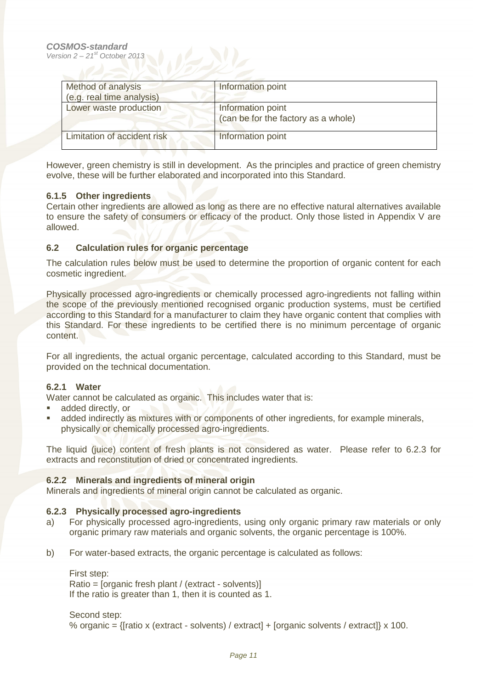| Method of analysis<br>(e.g. real time analysis) | Information point                                        |
|-------------------------------------------------|----------------------------------------------------------|
| Lower waste production                          | Information point<br>(can be for the factory as a whole) |
| Limitation of accident risk                     | Information point                                        |

However, green chemistry is still in development. As the principles and practice of green chemistry evolve, these will be further elaborated and incorporated into this Standard.

#### **6.1.5 Other ingredients**

Certain other ingredients are allowed as long as there are no effective natural alternatives available to ensure the safety of consumers or efficacy of the product. Only those listed in Appendix V are allowed.

#### **6.2 Calculation rules for organic percentage**

The calculation rules below must be used to determine the proportion of organic content for each cosmetic ingredient.

Physically processed agro-ingredients or chemically processed agro-ingredients not falling within the scope of the previously mentioned recognised organic production systems, must be certified according to this Standard for a manufacturer to claim they have organic content that complies with this Standard. For these ingredients to be certified there is no minimum percentage of organic content.

For all ingredients, the actual organic percentage, calculated according to this Standard, must be provided on the technical documentation.

#### **6.2.1 Water**

Water cannot be calculated as organic. This includes water that is:

- added directly, or
- added indirectly as mixtures with or components of other ingredients, for example minerals, physically or chemically processed agro-ingredients.

The liquid (juice) content of fresh plants is not considered as water. Please refer to 6.2.3 for extracts and reconstitution of dried or concentrated ingredients.

#### **6.2.2 Minerals and ingredients of mineral origin**

Minerals and ingredients of mineral origin cannot be calculated as organic.

#### **6.2.3 Physically processed agro-ingredients**

- a) For physically processed agro-ingredients, using only organic primary raw materials or only organic primary raw materials and organic solvents, the organic percentage is 100%.
- b) For water-based extracts, the organic percentage is calculated as follows:

First step: Ratio = [organic fresh plant / (extract - solvents)] If the ratio is greater than 1, then it is counted as 1.

Second step:

% organic =  $\{$ fratio x (extract - solvents) / extract $]$  + [organic solvents / extract $]$  x 100.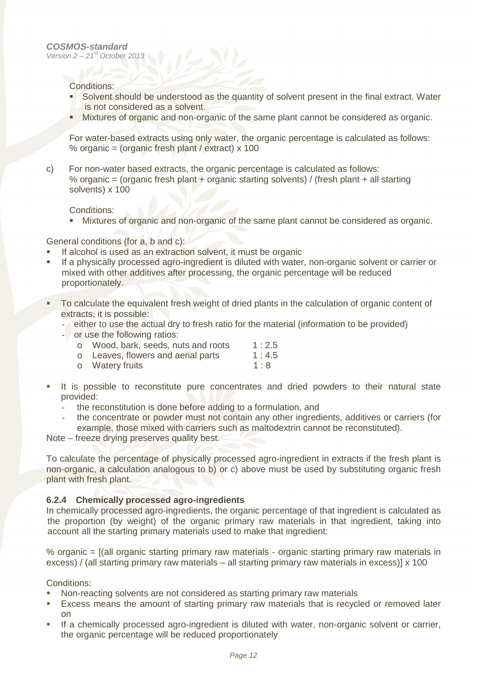Conditions:

- Solvent should be understood as the quantity of solvent present in the final extract. Water is not considered as a solvent.
- Mixtures of organic and non-organic of the same plant cannot be considered as organic.

For water-based extracts using only water, the organic percentage is calculated as follows: % organic = (organic fresh plant / extract) x 100

c) For non-water based extracts, the organic percentage is calculated as follows: % organic = (organic fresh plant + organic starting solvents) / (fresh plant + all starting solvents) x 100

Conditions:

**Mixtures of organic and non-organic of the same plant cannot be considered as organic.** 

General conditions (for a, b and c):

- If alcohol is used as an extraction solvent, it must be organic
- If a physically processed agro-ingredient is diluted with water, non-organic solvent or carrier or mixed with other additives after processing, the organic percentage will be reduced proportionately.
- To calculate the equivalent fresh weight of dried plants in the calculation of organic content of extracts, it is possible:
	- either to use the actual dry to fresh ratio for the material (information to be provided)
	- or use the following ratios:

| o Wood, bark, seeds, nuts and roots | 1:2.5 |
|-------------------------------------|-------|
| o Leaves, flowers and aerial parts  | 1:4.5 |

- o Watery fruits 1:8
- **It is possible to reconstitute pure concentrates and dried powders to their natural state** provided:
	- the reconstitution is done before adding to a formulation, and
	- the concentrate or powder must not contain any other ingredients, additives or carriers (for example, those mixed with carriers such as maltodextrin cannot be reconstituted).

Note – freeze drying preserves quality best.

To calculate the percentage of physically processed agro-ingredient in extracts if the fresh plant is non-organic, a calculation analogous to b) or c) above must be used by substituting organic fresh plant with fresh plant.

#### **6.2.4 Chemically processed agro-ingredients**

In chemically processed agro-ingredients, the organic percentage of that ingredient is calculated as the proportion (by weight) of the organic primary raw materials in that ingredient, taking into account all the starting primary materials used to make that ingredient:

% organic = [(all organic starting primary raw materials - organic starting primary raw materials in excess) / (all starting primary raw materials – all starting primary raw materials in excess)] x 100

Conditions:

- Non-reacting solvents are not considered as starting primary raw materials
- Excess means the amount of starting primary raw materials that is recycled or removed later on
- If a chemically processed agro-ingredient is diluted with water, non-organic solvent or carrier, the organic percentage will be reduced proportionately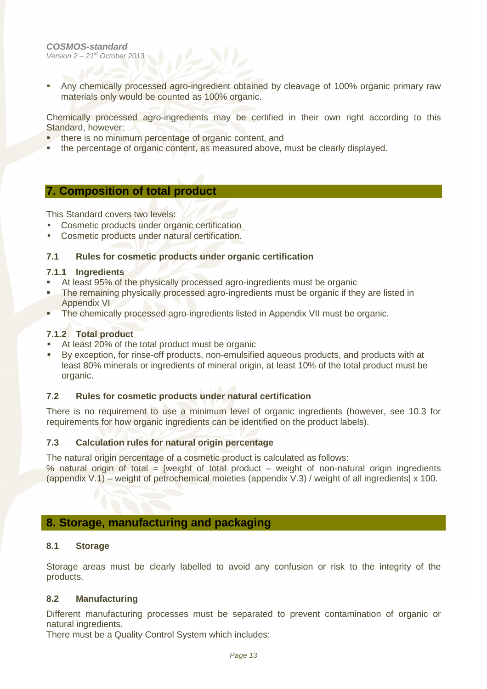**Any chemically processed agro-ingredient obtained by cleavage of 100% organic primary raw** materials only would be counted as 100% organic.

Chemically processed agro-ingredients may be certified in their own right according to this Standard, however:

- **there is no minimum percentage of organic content, and**
- the percentage of organic content, as measured above, must be clearly displayed.

#### **7. Composition of total product**

This Standard covers two levels:

- Cosmetic products under organic certification
- Cosmetic products under natural certification.

#### **7.1 Rules for cosmetic products under organic certification**

#### **7.1.1 Ingredients**

- At least 95% of the physically processed agro-ingredients must be organic
- The remaining physically processed agro-ingredients must be organic if they are listed in Appendix VI
- The chemically processed agro-ingredients listed in Appendix VII must be organic.

#### **7.1.2 Total product**

- At least 20% of the total product must be organic
- By exception, for rinse-off products, non-emulsified aqueous products, and products with at least 80% minerals or ingredients of mineral origin, at least 10% of the total product must be organic.

#### **7.2 Rules for cosmetic products under natural certification**

There is no requirement to use a minimum level of organic ingredients (however, see 10.3 for requirements for how organic ingredients can be identified on the product labels).

#### **7.3 Calculation rules for natural origin percentage**

The natural origin percentage of a cosmetic product is calculated as follows:

% natural origin of total = [weight of total product – weight of non-natural origin ingredients (appendix V.1) – weight of petrochemical moieties (appendix V.3) / weight of all ingredients] x 100.

#### **8. Storage, manufacturing and packaging**

#### **8.1 Storage**

Storage areas must be clearly labelled to avoid any confusion or risk to the integrity of the products.

#### **8.2 Manufacturing**

Different manufacturing processes must be separated to prevent contamination of organic or natural ingredients.

There must be a Quality Control System which includes: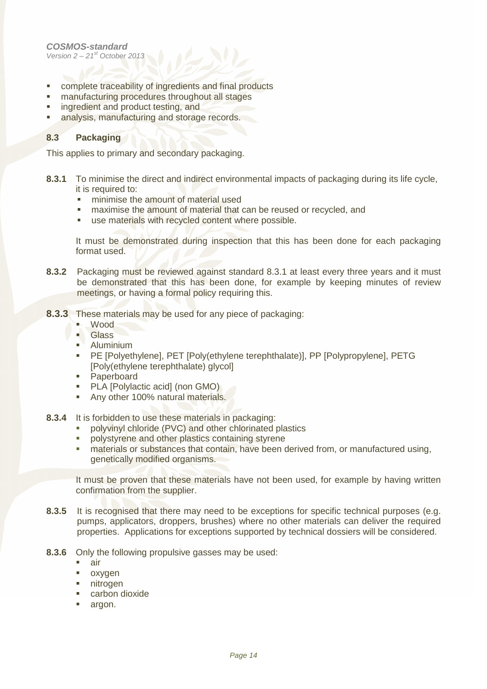- complete traceability of ingredients and final products
- manufacturing procedures throughout all stages
- **ingredient and product testing, and**
- **analysis, manufacturing and storage records.**

#### **8.3 Packaging**

This applies to primary and secondary packaging.

- **8.3.1** To minimise the direct and indirect environmental impacts of packaging during its life cycle, it is required to:
	- **minimise the amount of material used**
	- maximise the amount of material that can be reused or recycled, and
	- use materials with recycled content where possible.

It must be demonstrated during inspection that this has been done for each packaging format used.

- **8.3.2** Packaging must be reviewed against standard 8.3.1 at least every three years and it must be demonstrated that this has been done, for example by keeping minutes of review meetings, or having a formal policy requiring this.
- **8.3.3** These materials may be used for any piece of packaging:
	- Wood<br>- Glass
	- **Glass**
	- Aluminium
	- PE [Polyethylene], PET [Poly(ethylene terephthalate)], PP [Polypropylene], PETG [Poly(ethylene terephthalate) glycol]
	- **Paperboard**
	- PLA [Polylactic acid] (non GMO)
	- Any other 100% natural materials.
- **8.3.4** It is forbidden to use these materials in packaging:
	- polyvinyl chloride (PVC) and other chlorinated plastics
	- **polystyrene and other plastics containing styrene**
	- **naterials or substances that contain, have been derived from, or manufactured using,** genetically modified organisms.

It must be proven that these materials have not been used, for example by having written confirmation from the supplier.

- **8.3.5** It is recognised that there may need to be exceptions for specific technical purposes (e.g. pumps, applicators, droppers, brushes) where no other materials can deliver the required properties. Applications for exceptions supported by technical dossiers will be considered.
- **8.3.6** Only the following propulsive gasses may be used:
	- air
	- oxygen
	- nitrogen
	- **Exercise** carbon dioxide
	- argon.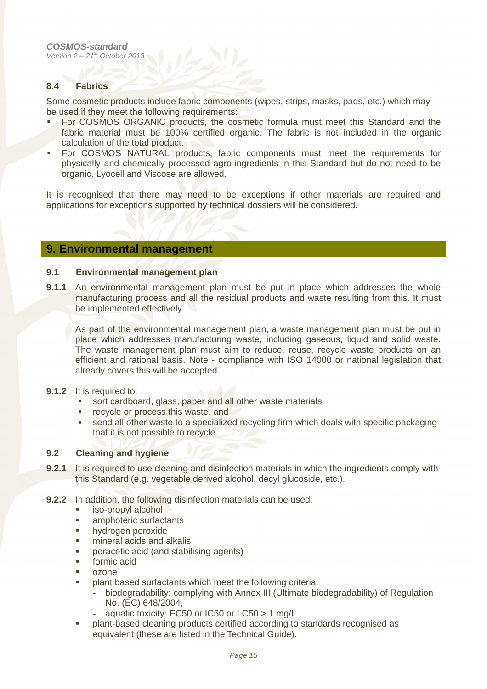#### **8.4 Fabrics**

Some cosmetic products include fabric components (wipes, strips, masks, pads, etc.) which may be used if they meet the following requirements:

- For COSMOS ORGANIC products, the cosmetic formula must meet this Standard and the fabric material must be 100% certified organic. The fabric is not included in the organic calculation of the total product.
- For COSMOS NATURAL products, fabric components must meet the requirements for physically and chemically processed agro-ingredients in this Standard but do not need to be organic. Lyocell and Viscose are allowed.

It is recognised that there may need to be exceptions if other materials are required and applications for exceptions supported by technical dossiers will be considered.

#### **9. Environmental management**

#### **9.1 Environmental management plan**

**9.1.1** An environmental management plan must be put in place which addresses the whole manufacturing process and all the residual products and waste resulting from this. It must be implemented effectively.

As part of the environmental management plan, a waste management plan must be put in place which addresses manufacturing waste, including gaseous, liquid and solid waste. The waste management plan must aim to reduce, reuse, recycle waste products on an efficient and rational basis. Note - compliance with ISO 14000 or national legislation that already covers this will be accepted.

#### **9.1.2** It is required to:

- sort cardboard, glass, paper and all other waste materials
- **recycle or process this waste, and**
- send all other waste to a specialized recycling firm which deals with specific packaging that it is not possible to recycle.

#### **9.2 Cleaning and hygiene**

- **9.2.1** It is required to use cleaning and disinfection materials in which the ingredients comply with this Standard (e.g. vegetable derived alcohol, decyl glucoside, etc.).
- **9.2.2** In addition, the following disinfection materials can be used:
	- iso-propyl alcohol
	- **amphoteric surfactants**
	- **hydrogen peroxide**
	- **mineral acids and alkalis**
	- peracetic acid (and stabilising agents)
	- **formic acid**
	- ozone
	- plant based surfactants which meet the following criteria:
		- biodegradability: complying with Annex III (Ultimate biodegradability) of Regulation No. (EC) 648/2004,
		- aquatic toxicity: EC50 or IC50 or LC50  $> 1$  mg/l
	- plant-based cleaning products certified according to standards recognised as equivalent (these are listed in the Technical Guide).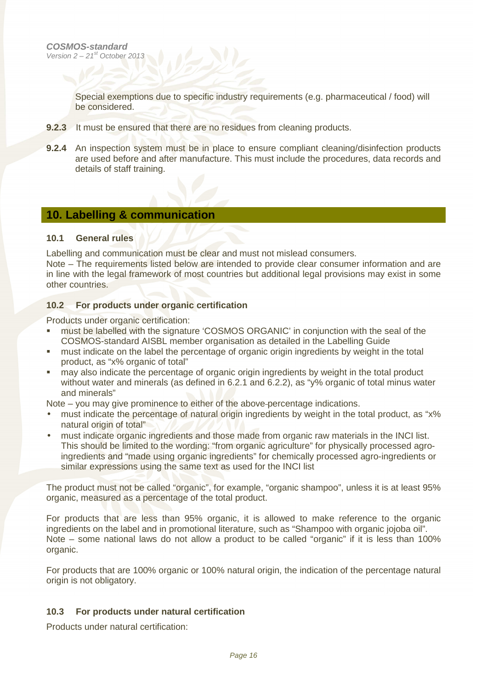Special exemptions due to specific industry requirements (e.g. pharmaceutical / food) will be considered.

- **9.2.3** It must be ensured that there are no residues from cleaning products.
- **9.2.4** An inspection system must be in place to ensure compliant cleaning/disinfection products are used before and after manufacture. This must include the procedures, data records and details of staff training.

#### **10. Labelling & communication**

#### **10.1 General rules**

Labelling and communication must be clear and must not mislead consumers.

Note – The requirements listed below are intended to provide clear consumer information and are in line with the legal framework of most countries but additional legal provisions may exist in some other countries.

#### **10.2 For products under organic certification**

Products under organic certification:

- must be labelled with the signature 'COSMOS ORGANIC' in conjunction with the seal of the COSMOS-standard AISBL member organisation as detailed in the Labelling Guide
- must indicate on the label the percentage of organic origin ingredients by weight in the total product, as "x% organic of total"
- may also indicate the percentage of organic origin ingredients by weight in the total product without water and minerals (as defined in 6.2.1 and 6.2.2), as "y% organic of total minus water and minerals"

Note – you may give prominence to either of the above percentage indications.

- must indicate the percentage of natural origin ingredients by weight in the total product, as "x% natural origin of total"
- must indicate organic ingredients and those made from organic raw materials in the INCI list. This should be limited to the wording: "from organic agriculture" for physically processed agroingredients and "made using organic ingredients" for chemically processed agro-ingredients or similar expressions using the same text as used for the INCI list

The product must not be called "organic", for example, "organic shampoo", unless it is at least 95% organic, measured as a percentage of the total product.

For products that are less than 95% organic, it is allowed to make reference to the organic ingredients on the label and in promotional literature, such as "Shampoo with organic jojoba oil". Note – some national laws do not allow a product to be called "organic" if it is less than 100% organic.

For products that are 100% organic or 100% natural origin, the indication of the percentage natural origin is not obligatory.

#### **10.3 For products under natural certification**

Products under natural certification: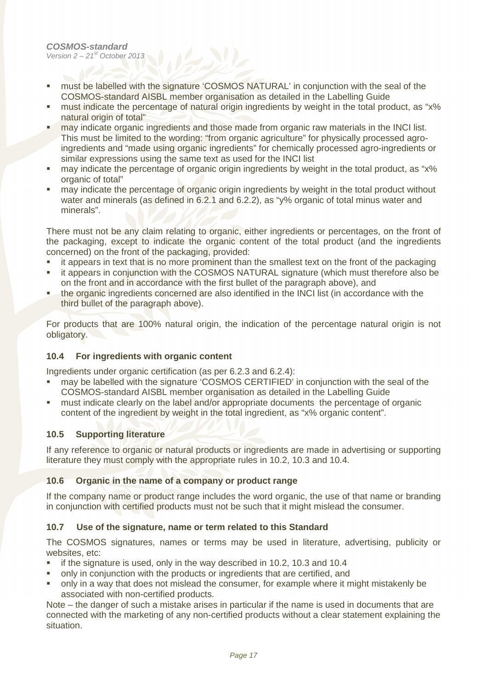- **nust be labelled with the signature 'COSMOS NATURAL' in conjunction with the seal of the** COSMOS-standard AISBL member organisation as detailed in the Labelling Guide
- **F** must indicate the percentage of natural origin ingredients by weight in the total product, as "x% natural origin of total"
- may indicate organic ingredients and those made from organic raw materials in the INCI list. This must be limited to the wording: "from organic agriculture" for physically processed agroingredients and "made using organic ingredients" for chemically processed agro-ingredients or similar expressions using the same text as used for the INCI list
- may indicate the percentage of organic origin ingredients by weight in the total product, as "x% organic of total"
- may indicate the percentage of organic origin ingredients by weight in the total product without water and minerals (as defined in 6.2.1 and 6.2.2), as "y% organic of total minus water and minerals".

There must not be any claim relating to organic, either ingredients or percentages, on the front of the packaging, except to indicate the organic content of the total product (and the ingredients concerned) on the front of the packaging, provided:

- it appears in text that is no more prominent than the smallest text on the front of the packaging
- **EXECT** it appears in conjunction with the COSMOS NATURAL signature (which must therefore also be on the front and in accordance with the first bullet of the paragraph above), and
- the organic ingredients concerned are also identified in the INCI list (in accordance with the third bullet of the paragraph above).

For products that are 100% natural origin, the indication of the percentage natural origin is not obligatory.

#### **10.4 For ingredients with organic content**

Ingredients under organic certification (as per 6.2.3 and 6.2.4):

- may be labelled with the signature 'COSMOS CERTIFIED' in conjunction with the seal of the COSMOS-standard AISBL member organisation as detailed in the Labelling Guide
- must indicate clearly on the label and/or appropriate documents the percentage of organic content of the ingredient by weight in the total ingredient, as "x% organic content".

#### **10.5 Supporting literature**

If any reference to organic or natural products or ingredients are made in advertising or supporting literature they must comply with the appropriate rules in 10.2, 10.3 and 10.4.

#### **10.6 Organic in the name of a company or product range**

If the company name or product range includes the word organic, the use of that name or branding in conjunction with certified products must not be such that it might mislead the consumer.

#### **10.7 Use of the signature, name or term related to this Standard**

The COSMOS signatures, names or terms may be used in literature, advertising, publicity or websites, etc:

- if the signature is used, only in the way described in 10.2, 10.3 and 10.4
- only in conjunction with the products or ingredients that are certified, and
- only in a way that does not mislead the consumer, for example where it might mistakenly be associated with non-certified products.

Note – the danger of such a mistake arises in particular if the name is used in documents that are connected with the marketing of any non-certified products without a clear statement explaining the situation.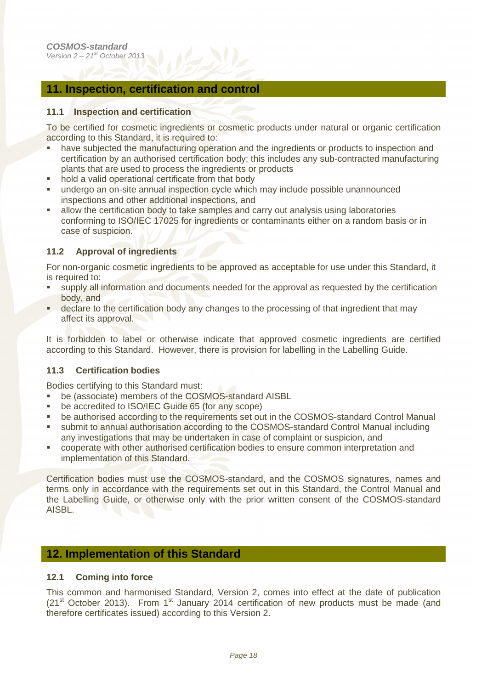#### **11. Inspection, certification and control**

#### **11.1 Inspection and certification**

To be certified for cosmetic ingredients or cosmetic products under natural or organic certification according to this Standard, it is required to:

- have subjected the manufacturing operation and the ingredients or products to inspection and certification by an authorised certification body; this includes any sub-contracted manufacturing plants that are used to process the ingredients or products
- hold a valid operational certificate from that body
- undergo an on-site annual inspection cycle which may include possible unannounced inspections and other additional inspections, and
- allow the certification body to take samples and carry out analysis using laboratories conforming to ISO/IEC 17025 for ingredients or contaminants either on a random basis or in case of suspicion.

#### **11.2 Approval of ingredients**

For non-organic cosmetic ingredients to be approved as acceptable for use under this Standard, it is required to:

- supply all information and documents needed for the approval as requested by the certification body, and
- **declare to the certification body any changes to the processing of that ingredient that may** affect its approval.

It is forbidden to label or otherwise indicate that approved cosmetic ingredients are certified according to this Standard. However, there is provision for labelling in the Labelling Guide.

#### **11.3 Certification bodies**

Bodies certifying to this Standard must:

- **•** be (associate) members of the COSMOS-standard AISBL
- be accredited to ISO/IEC Guide 65 (for any scope)
- be authorised according to the requirements set out in the COSMOS-standard Control Manual
- submit to annual authorisation according to the COSMOS-standard Control Manual including any investigations that may be undertaken in case of complaint or suspicion, and
- cooperate with other authorised certification bodies to ensure common interpretation and implementation of this Standard.

Certification bodies must use the COSMOS-standard, and the COSMOS signatures, names and terms only in accordance with the requirements set out in this Standard, the Control Manual and the Labelling Guide, or otherwise only with the prior written consent of the COSMOS-standard AISBL.

#### **12. Implementation of this Standard**

#### **12.1 Coming into force**

This common and harmonised Standard, Version 2, comes into effect at the date of publication  $(21<sup>st</sup> October 2013)$ . From 1<sup>st</sup> January 2014 certification of new products must be made (and therefore certificates issued) according to this Version 2.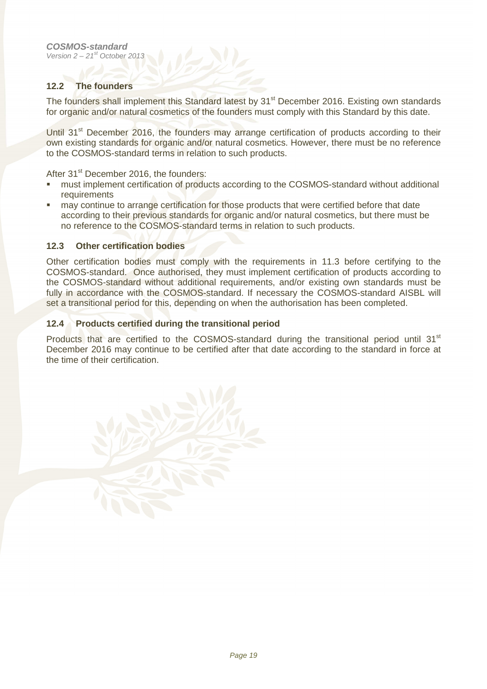#### **12.2 The founders**

The founders shall implement this Standard latest by 31<sup>st</sup> December 2016. Existing own standards for organic and/or natural cosmetics of the founders must comply with this Standard by this date.

Until 31<sup>st</sup> December 2016, the founders may arrange certification of products according to their own existing standards for organic and/or natural cosmetics. However, there must be no reference to the COSMOS-standard terms in relation to such products.

After 31<sup>st</sup> December 2016, the founders:

- must implement certification of products according to the COSMOS-standard without additional requirements
- may continue to arrange certification for those products that were certified before that date according to their previous standards for organic and/or natural cosmetics, but there must be no reference to the COSMOS-standard terms in relation to such products.

#### **12.3 Other certification bodies**

Other certification bodies must comply with the requirements in 11.3 before certifying to the COSMOS-standard. Once authorised, they must implement certification of products according to the COSMOS-standard without additional requirements, and/or existing own standards must be fully in accordance with the COSMOS-standard. If necessary the COSMOS-standard AISBL will set a transitional period for this, depending on when the authorisation has been completed.

#### **12.4 Products certified during the transitional period**

Products that are certified to the COSMOS-standard during the transitional period until 31<sup>st</sup> December 2016 may continue to be certified after that date according to the standard in force at the time of their certification.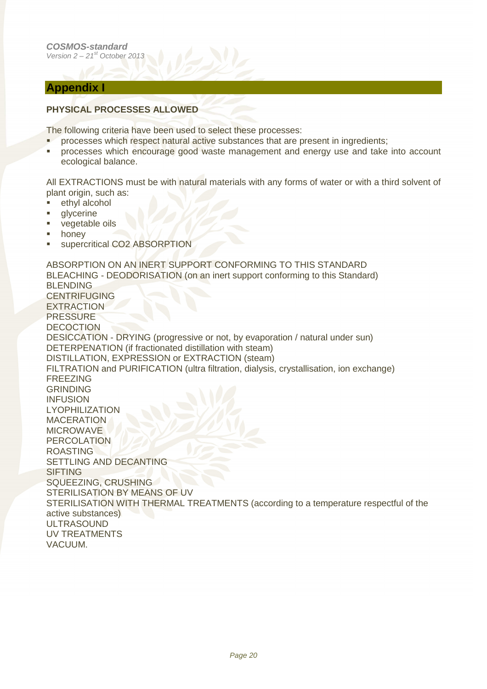#### **Appendix I**

#### **PHYSICAL PROCESSES ALLOWED**

The following criteria have been used to select these processes:

- **PEDIENT:** processes which respect natural active substances that are present in ingredients;
- **•** processes which encourage good waste management and energy use and take into account ecological balance.

All EXTRACTIONS must be with natural materials with any forms of water or with a third solvent of plant origin, such as:

- ethyl alcohol
- **glycerine**
- vegetable oils
- honey
- supercritical CO2 ABSORPTION

ABSORPTION ON AN INERT SUPPORT CONFORMING TO THIS STANDARD BLEACHING - DEODORISATION (on an inert support conforming to this Standard) BLENDING CENTRIFUGING EXTRACTION PRESSURE DECOCTION DESICCATION - DRYING (progressive or not, by evaporation / natural under sun) DETERPENATION (if fractionated distillation with steam) DISTILLATION, EXPRESSION or EXTRACTION (steam) FILTRATION and PURIFICATION (ultra filtration, dialysis, crystallisation, ion exchange) FREEZING GRINDING INFUSION LYOPHILIZATION MACERATION **MICROWAVE** PERCOLATION ROASTING SETTLING AND DECANTING SIFTING SQUEEZING, CRUSHING STERILISATION BY MEANS OF UV STERILISATION WITH THERMAL TREATMENTS (according to a temperature respectful of the active substances) ULTRASOUND UV TREATMENTS VACUUM.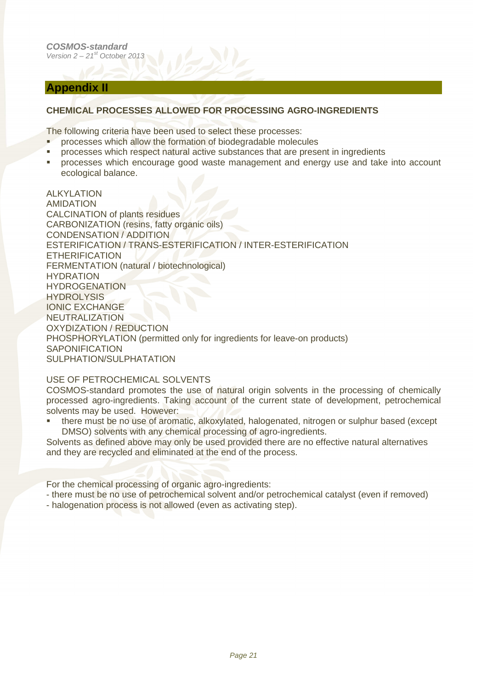#### **Appendix II**

#### **CHEMICAL PROCESSES ALLOWED FOR PROCESSING AGRO-INGREDIENTS**

The following criteria have been used to select these processes:

- **PEDIT** processes which allow the formation of biodegradable molecules
- processes which respect natural active substances that are present in ingredients
- processes which encourage good waste management and energy use and take into account ecological balance.

ALKYLATION AMIDATION CALCINATION of plants residues CARBONIZATION (resins, fatty organic oils) CONDENSATION / ADDITION ESTERIFICATION / TRANS-ESTERIFICATION / INTER-ESTERIFICATION ETHERIFICATION FERMENTATION (natural / biotechnological) HYDRATION **HYDROGENATION HYDROLYSIS** IONIC EXCHANGE NEUTRALIZATION OXYDIZATION / REDUCTION PHOSPHORYLATION (permitted only for ingredients for leave-on products) SAPONIFICATION SULPHATION/SULPHATATION

#### USE OF PETROCHEMICAL SOLVENTS

COSMOS-standard promotes the use of natural origin solvents in the processing of chemically processed agro-ingredients. Taking account of the current state of development, petrochemical solvents may be used. However:

 there must be no use of aromatic, alkoxylated, halogenated, nitrogen or sulphur based (except DMSO) solvents with any chemical processing of agro-ingredients.

Solvents as defined above may only be used provided there are no effective natural alternatives and they are recycled and eliminated at the end of the process.

For the chemical processing of organic agro-ingredients:

- there must be no use of petrochemical solvent and/or petrochemical catalyst (even if removed)
- halogenation process is not allowed (even as activating step).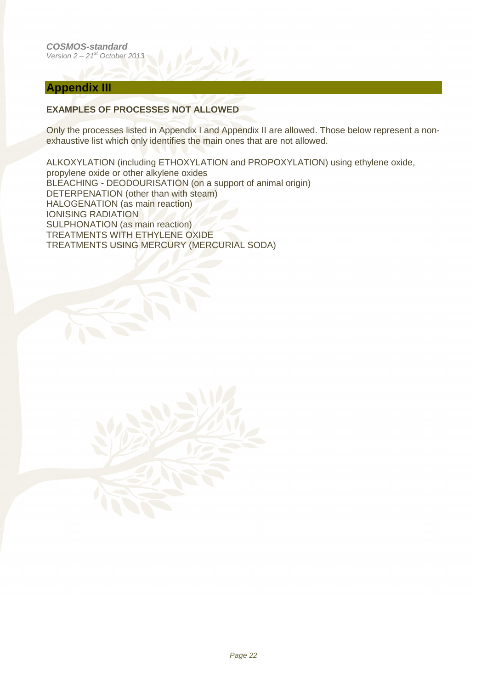#### **Appendix III**

#### **EXAMPLES OF PROCESSES NOT ALLOWED**

Only the processes listed in Appendix I and Appendix II are allowed. Those below represent a nonexhaustive list which only identifies the main ones that are not allowed.

ALKOXYLATION (including ETHOXYLATION and PROPOXYLATION) using ethylene oxide, propylene oxide or other alkylene oxides BLEACHING - DEODOURISATION (on a support of animal origin) DETERPENATION (other than with steam) HALOGENATION (as main reaction) IONISING RADIATION SULPHONATION (as main reaction) TREATMENTS WITH ETHYLENE OXIDE TREATMENTS USING MERCURY (MERCURIAL SODA)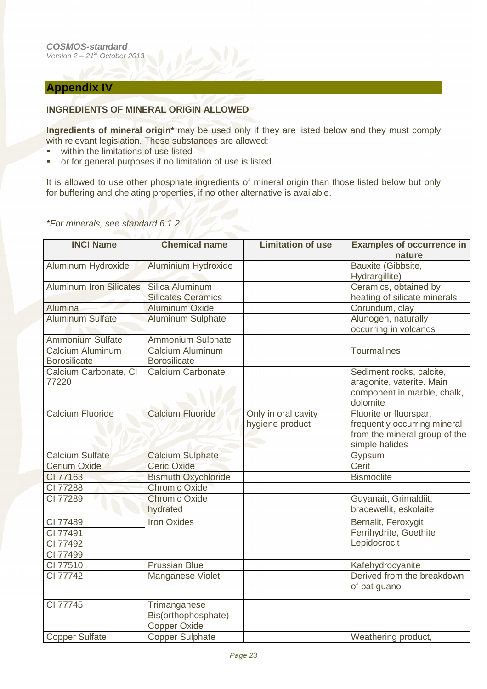#### **Appendix IV**

#### **INGREDIENTS OF MINERAL ORIGIN ALLOWED**

**Ingredients of mineral origin\*** may be used only if they are listed below and they must comply with relevant legislation. These substances are allowed:

- within the limitations of use listed
- or for general purposes if no limitation of use is listed.

It is allowed to use other phosphate ingredients of mineral origin than those listed below but only for buffering and chelating properties, if no other alternative is available.

#### \*For minerals, see standard 6.1.2.

| <b>INCI Name</b>                        | <b>Chemical name</b>                           | <b>Limitation of use</b>               | <b>Examples of occurrence in</b>                                                                          |
|-----------------------------------------|------------------------------------------------|----------------------------------------|-----------------------------------------------------------------------------------------------------------|
|                                         |                                                |                                        | nature                                                                                                    |
| Aluminum Hydroxide                      | <b>Aluminium Hydroxide</b>                     |                                        | Bauxite (Gibbsite,<br>Hydrargillite)                                                                      |
| <b>Aluminum Iron Silicates</b>          | Silica Aluminum                                |                                        | Ceramics, obtained by                                                                                     |
|                                         | <b>Silicates Ceramics</b>                      |                                        | heating of silicate minerals                                                                              |
| <b>Alumina</b>                          | <b>Aluminum Oxide</b>                          |                                        | Corundum, clay                                                                                            |
| <b>Aluminum Sulfate</b>                 | <b>Aluminum Sulphate</b>                       |                                        | Alunogen, naturally<br>occurring in volcanos                                                              |
| <b>Ammonium Sulfate</b>                 | <b>Ammonium Sulphate</b>                       |                                        |                                                                                                           |
| Calcium Aluminum<br><b>Borosilicate</b> | <b>Calcium Aluminum</b><br><b>Borosilicate</b> |                                        | Tourmalines                                                                                               |
| Calcium Carbonate, CI<br>77220          | <b>Calcium Carbonate</b>                       |                                        | Sediment rocks, calcite,<br>aragonite, vaterite. Main<br>component in marble, chalk,<br>dolomite          |
| <b>Calcium Fluoride</b>                 | <b>Calcium Fluoride</b>                        | Only in oral cavity<br>hygiene product | Fluorite or fluorspar,<br>frequently occurring mineral<br>from the mineral group of the<br>simple halides |
| <b>Calcium Sulfate</b>                  | <b>Calcium Sulphate</b>                        |                                        | Gypsum                                                                                                    |
| <b>Cerium Oxide</b>                     | <b>Ceric Oxide</b>                             |                                        | Cerit                                                                                                     |
| CI 77163                                | <b>Bismuth Oxychloride</b>                     |                                        | <b>Bismoclite</b>                                                                                         |
| CI 77288                                | <b>Chromic Oxide</b>                           |                                        |                                                                                                           |
| CI 77289                                | <b>Chromic Oxide</b><br>hydrated               |                                        | Guyanait, Grimaldiit,<br>bracewellit, eskolaite                                                           |
| CI 77489                                | <b>Iron Oxides</b>                             |                                        | Bernalit, Feroxygit                                                                                       |
| CI 77491                                |                                                |                                        | Ferrihydrite, Goethite                                                                                    |
| CI 77492                                |                                                |                                        | Lepidocrocit                                                                                              |
| CI 77499                                |                                                |                                        |                                                                                                           |
| CI 77510                                | <b>Prussian Blue</b>                           |                                        | Kafehydrocyanite                                                                                          |
| CI 77742                                | Manganese Violet                               |                                        | Derived from the breakdown<br>of bat guano                                                                |
| CI 77745                                | Trimanganese<br>Bis(orthophosphate)            |                                        |                                                                                                           |
|                                         | <b>Copper Oxide</b>                            |                                        |                                                                                                           |
| Copper Sulfate                          | <b>Copper Sulphate</b>                         |                                        | Weathering product,                                                                                       |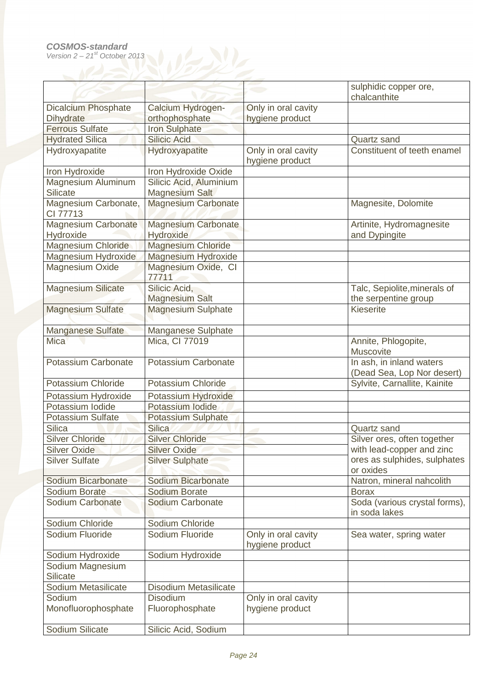|                                     |                              |                                        | sulphidic copper ore,                                  |
|-------------------------------------|------------------------------|----------------------------------------|--------------------------------------------------------|
|                                     |                              |                                        | chalcanthite                                           |
| <b>Dicalcium Phosphate</b>          | Calcium Hydrogen-            | Only in oral cavity                    |                                                        |
| <b>Dihydrate</b>                    | orthophosphate               | hygiene product                        |                                                        |
| <b>Ferrous Sulfate</b>              | <b>Iron Sulphate</b>         |                                        |                                                        |
| <b>Hydrated Silica</b>              | <b>Silicic Acid</b>          |                                        | Quartz sand                                            |
| Hydroxyapatite                      | Hydroxyapatite               | Only in oral cavity<br>hygiene product | Constituent of teeth enamel                            |
| <b>Iron Hydroxide</b>               | Iron Hydroxide Oxide         |                                        |                                                        |
| Magnesium Aluminum                  | Silicic Acid, Aluminium      |                                        |                                                        |
| <b>Silicate</b>                     | <b>Magnesium Salt</b>        |                                        |                                                        |
| Magnesium Carbonate,<br>CI 77713    | <b>Magnesium Carbonate</b>   |                                        | Magnesite, Dolomite                                    |
| <b>Magnesium Carbonate</b>          | <b>Magnesium Carbonate</b>   |                                        | Artinite, Hydromagnesite                               |
| Hydroxide                           | <b>Hydroxide</b>             |                                        | and Dypingite                                          |
| Magnesium Chloride                  | <b>Magnesium Chloride</b>    |                                        |                                                        |
| Magnesium Hydroxide                 | <b>Magnesium Hydroxide</b>   |                                        |                                                        |
| Magnesium Oxide                     | Magnesium Oxide, CI<br>77711 |                                        |                                                        |
| <b>Magnesium Silicate</b>           | Silicic Acid,                |                                        | Talc, Sepiolite, minerals of                           |
|                                     | <b>Magnesium Salt</b>        |                                        | the serpentine group                                   |
| <b>Magnesium Sulfate</b>            | <b>Magnesium Sulphate</b>    |                                        | <b>Kieserite</b>                                       |
| Manganese Sulfate                   | Manganese Sulphate           |                                        |                                                        |
| <b>Mica</b>                         | Mica, CI 77019               |                                        | Annite, Phlogopite,<br>Muscovite                       |
| Potassium Carbonate                 | Potassium Carbonate          |                                        | In ash, in inland waters<br>(Dead Sea, Lop Nor desert) |
| Potassium Chloride                  | Potassium Chloride           |                                        | Sylvite, Carnallite, Kainite                           |
| Potassium Hydroxide                 | Potassium Hydroxide          |                                        |                                                        |
| Potassium Iodide                    | Potassium lodide             |                                        |                                                        |
| <b>Potassium Sulfate</b>            | <b>Potassium Sulphate</b>    |                                        |                                                        |
| <b>Silica</b>                       | <b>Silica</b>                |                                        | Quartz sand                                            |
| <b>Silver Chloride</b>              | <b>Silver Chloride</b>       |                                        | Silver ores, often together                            |
| <b>Silver Oxide</b>                 | <b>Silver Oxide</b>          |                                        | with lead-copper and zinc                              |
| <b>Silver Sulfate</b>               | <b>Silver Sulphate</b>       |                                        | ores as sulphides, sulphates<br>or oxides              |
| Sodium Bicarbonate                  | <b>Sodium Bicarbonate</b>    |                                        | Natron, mineral nahcolith                              |
| Sodium Borate                       | Sodium Borate                |                                        | <b>Borax</b>                                           |
| Sodium Carbonate                    | Sodium Carbonate             |                                        | Soda (various crystal forms),<br>in soda lakes         |
| Sodium Chloride                     | Sodium Chloride              |                                        |                                                        |
| Sodium Fluoride                     | Sodium Fluoride              | Only in oral cavity<br>hygiene product | Sea water, spring water                                |
| Sodium Hydroxide                    | Sodium Hydroxide             |                                        |                                                        |
| Sodium Magnesium<br><b>Silicate</b> |                              |                                        |                                                        |
| Sodium Metasilicate                 | <b>Disodium Metasilicate</b> |                                        |                                                        |
| Sodium                              | <b>Disodium</b>              | Only in oral cavity                    |                                                        |
| Monofluorophosphate                 | Fluorophosphate              | hygiene product                        |                                                        |
| Sodium Silicate                     | Silicic Acid, Sodium         |                                        |                                                        |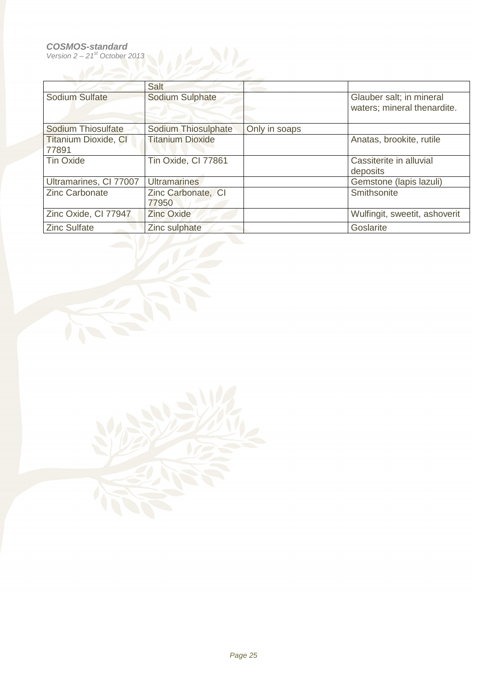#### **COSMOS-standard**

Version  $2 - 21<sup>st</sup>$  October 2013



|                                      | Salt                        |               |                                                         |
|--------------------------------------|-----------------------------|---------------|---------------------------------------------------------|
| Sodium Sulfate                       | Sodium Sulphate             |               | Glauber salt; in mineral<br>waters; mineral thenardite. |
| <b>Sodium Thiosulfate</b>            | Sodium Thiosulphate         | Only in soaps |                                                         |
| <b>Titanium Dioxide, CI</b><br>77891 | <b>Titanium Dioxide</b>     |               | Anatas, brookite, rutile                                |
| <b>Tin Oxide</b>                     | Tin Oxide, CI 77861         |               | Cassiterite in alluvial<br>deposits                     |
| Ultramarines, CI 77007               | <b>Ultramarines</b>         |               | Gemstone (lapis lazuli)                                 |
| <b>Zinc Carbonate</b>                | Zinc Carbonate, CI<br>77950 |               | Smithsonite                                             |
| Zinc Oxide, CI 77947                 | <b>Zinc Oxide</b>           |               | Wulfingit, sweetit, ashoverit                           |
| <b>Zinc Sulfate</b>                  | Zinc sulphate               |               | Goslarite                                               |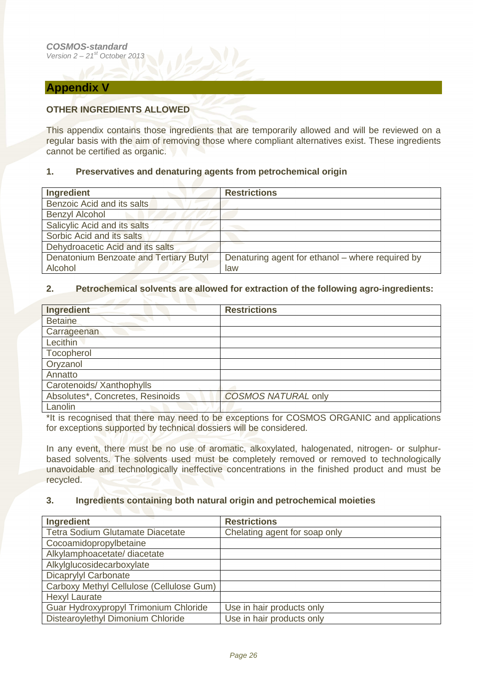#### **Appendix V**

#### **OTHER INGREDIENTS ALLOWED**

This appendix contains those ingredients that are temporarily allowed and will be reviewed on a regular basis with the aim of removing those where compliant alternatives exist. These ingredients cannot be certified as organic.

#### **1. Preservatives and denaturing agents from petrochemical origin**

| <b>Ingredient</b>                      | <b>Restrictions</b>                              |
|----------------------------------------|--------------------------------------------------|
| Benzoic Acid and its salts             |                                                  |
| <b>Benzyl Alcohol</b>                  |                                                  |
| Salicylic Acid and its salts           |                                                  |
| Sorbic Acid and its salts              |                                                  |
| Dehydroacetic Acid and its salts       |                                                  |
| Denatonium Benzoate and Tertiary Butyl | Denaturing agent for ethanol - where required by |
| Alcohol                                | law                                              |

#### **2. Petrochemical solvents are allowed for extraction of the following agro-ingredients:**

| Ingredient                       | <b>Restrictions</b>        |
|----------------------------------|----------------------------|
| <b>Betaine</b>                   |                            |
| Carrageenan                      |                            |
| Lecithin                         |                            |
| Tocopherol                       |                            |
| Oryzanol                         |                            |
| Annatto                          |                            |
| Carotenoids/ Xanthophylls        |                            |
| Absolutes*, Concretes, Resinoids | <b>COSMOS NATURAL only</b> |
| Lanolin                          |                            |

\*It is recognised that there may need to be exceptions for COSMOS ORGANIC and applications for exceptions supported by technical dossiers will be considered.

In any event, there must be no use of aromatic, alkoxylated, halogenated, nitrogen- or sulphurbased solvents. The solvents used must be completely removed or removed to technologically unavoidable and technologically ineffective concentrations in the finished product and must be recycled.

#### **3. Ingredients containing both natural origin and petrochemical moieties**

| Ingredient                               | <b>Restrictions</b>           |
|------------------------------------------|-------------------------------|
| Tetra Sodium Glutamate Diacetate         | Chelating agent for soap only |
| Cocoamidopropylbetaine                   |                               |
| Alkylamphoacetate/ diacetate             |                               |
| Alkylglucosidecarboxylate                |                               |
| Dicaprylyl Carbonate                     |                               |
| Carboxy Methyl Cellulose (Cellulose Gum) |                               |
| <b>Hexyl Laurate</b>                     |                               |
| Guar Hydroxypropyl Trimonium Chloride    | Use in hair products only     |
| Distearoylethyl Dimonium Chloride        | Use in hair products only     |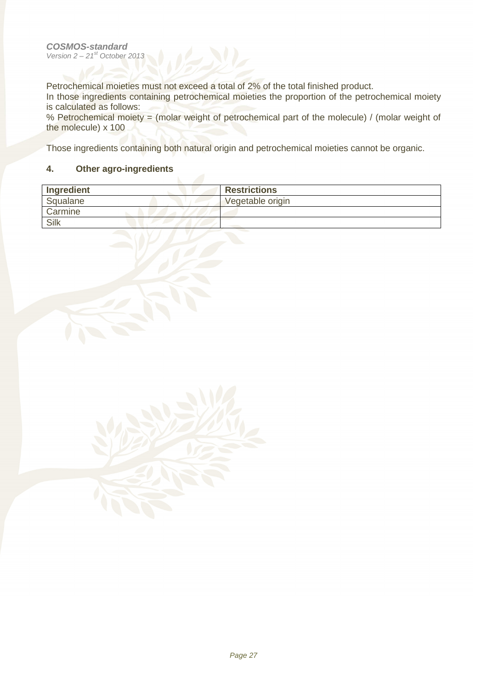Petrochemical moieties must not exceed a total of 2% of the total finished product.

In those ingredients containing petrochemical moieties the proportion of the petrochemical moiety is calculated as follows:

% Petrochemical moiety = (molar weight of petrochemical part of the molecule) / (molar weight of the molecule) x 100

Those ingredients containing both natural origin and petrochemical moieties cannot be organic.

#### **4. Other agro-ingredients**

| Ingredient | <b>Restrictions</b> |
|------------|---------------------|
| Squalane   | Vegetable origin    |
| Carmine    |                     |
| Silk       |                     |
|            |                     |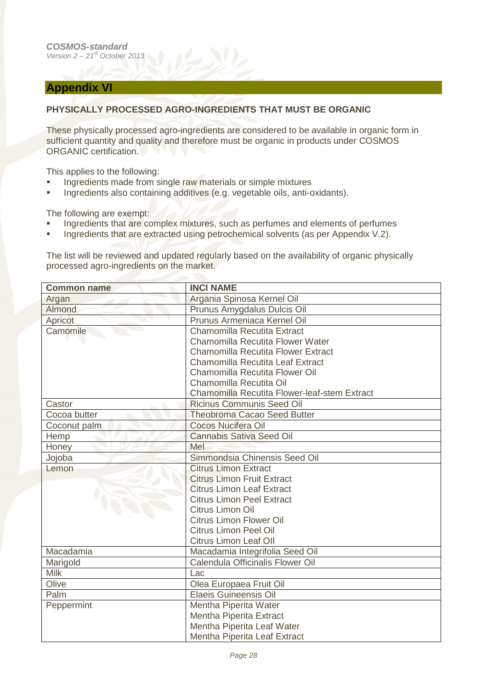#### **Appendix VI**

#### **PHYSICALLY PROCESSED AGRO-INGREDIENTS THAT MUST BE ORGANIC**

These physically processed agro-ingredients are considered to be available in organic form in sufficient quantity and quality and therefore must be organic in products under COSMOS ORGANIC certification.

This applies to the following:

- **Ingredients made from single raw materials or simple mixtures**
- **Ingredients also containing additives (e.g. vegetable oils, anti-oxidants).**

The following are exempt:

- **Ingredients that are complex mixtures, such as perfumes and elements of perfumes**
- **Ingredients that are extracted using petrochemical solvents (as per Appendix V.2).**

The list will be reviewed and updated regularly based on the availability of organic physically processed agro-ingredients on the market.

| <b>Common name</b> | <b>INCI NAME</b>                             |
|--------------------|----------------------------------------------|
| Argan              | Argania Spinosa Kernel Oil                   |
| Almond             | Prunus Amygdalus Dulcis Oil                  |
| Apricot            | Prunus Armeniaca Kernel Oil                  |
| Camomile           | Chamomilla Recutita Extract                  |
|                    | Chamomilla Recutita Flower Water             |
|                    | Chamomilla Recutita Flower Extract           |
|                    | <b>Chamomilla Recutita Leaf Extract</b>      |
|                    | Chamomilla Recutita Flower Oil               |
|                    | Chamomilla Recutita Oil                      |
|                    | Chamomilla Recutita Flower-leaf-stem Extract |
| Castor             | <b>Ricinus Communis Seed Oil</b>             |
| Cocoa butter       | <b>Theobroma Cacao Seed Butter</b>           |
| Coconut palm       | <b>Cocos Nucifera Oil</b>                    |
| Hemp               | <b>Cannabis Sativa Seed Oil</b>              |
| Honey              | Mel                                          |
| Jojoba             | Simmondsia Chinensis Seed Oil                |
| Lemon              | <b>Citrus Limon Extract</b>                  |
|                    | <b>Citrus Limon Fruit Extract</b>            |
|                    | <b>Citrus Limon Leaf Extract</b>             |
|                    | <b>Citrus Limon Peel Extract</b>             |
|                    | Citrus Limon Oil                             |
|                    | <b>Citrus Limon Flower Oil</b>               |
|                    | <b>Citrus Limon Peel Oil</b>                 |
|                    | <b>Citrus Limon Leaf Oll</b>                 |
| Macadamia          | Macadamia Integrifolia Seed Oil              |
| Marigold           | Calendula Officinalis Flower Oil             |
| <b>Milk</b>        | Lac                                          |
| Olive              | Olea Europaea Fruit Oil                      |
| Palm               | <b>Elaeis Guineensis Oil</b>                 |
| Peppermint         | Mentha Piperita Water                        |
|                    | Mentha Piperita Extract                      |
|                    | Mentha Piperita Leaf Water                   |
|                    | Mentha Piperita Leaf Extract                 |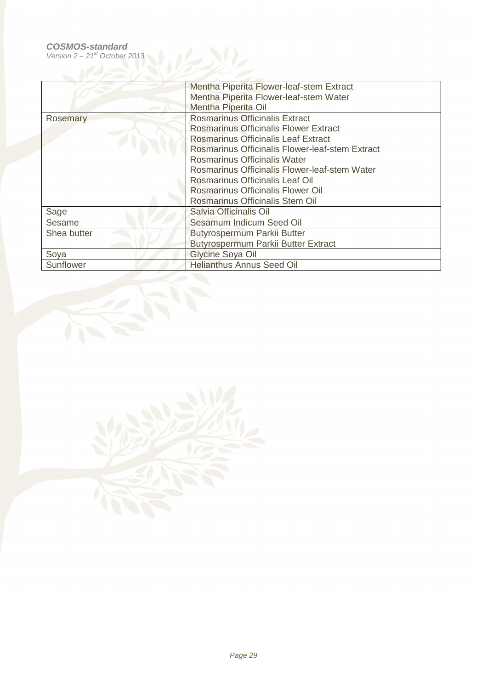|                 | Mentha Piperita Flower-leaf-stem Extract<br>Mentha Piperita Flower-leaf-stem Water<br><b>Mentha Piperita Oil</b>                                                                                                                                                                                                                                                            |
|-----------------|-----------------------------------------------------------------------------------------------------------------------------------------------------------------------------------------------------------------------------------------------------------------------------------------------------------------------------------------------------------------------------|
| <b>Rosemary</b> | <b>Rosmarinus Officinalis Extract</b><br><b>Rosmarinus Officinalis Flower Extract</b><br>Rosmarinus Officinalis Leaf Extract<br>Rosmarinus Officinalis Flower-leaf-stem Extract<br>Rosmarinus Officinalis Water<br>Rosmarinus Officinalis Flower-leaf-stem Water<br>Rosmarinus Officinalis Leaf Oil<br>Rosmarinus Officinalis Flower Oil<br>Rosmarinus Officinalis Stem Oil |
| Sage            | Salvia Officinalis Oil                                                                                                                                                                                                                                                                                                                                                      |
| Sesame          | Sesamum Indicum Seed Oil                                                                                                                                                                                                                                                                                                                                                    |
| Shea butter     | <b>Butyrospermum Parkii Butter</b>                                                                                                                                                                                                                                                                                                                                          |
|                 | Butyrospermum Parkii Butter Extract                                                                                                                                                                                                                                                                                                                                         |
| Soya            | Glycine Soya Oil                                                                                                                                                                                                                                                                                                                                                            |
| Sunflower       | <b>Helianthus Annus Seed Oil</b>                                                                                                                                                                                                                                                                                                                                            |